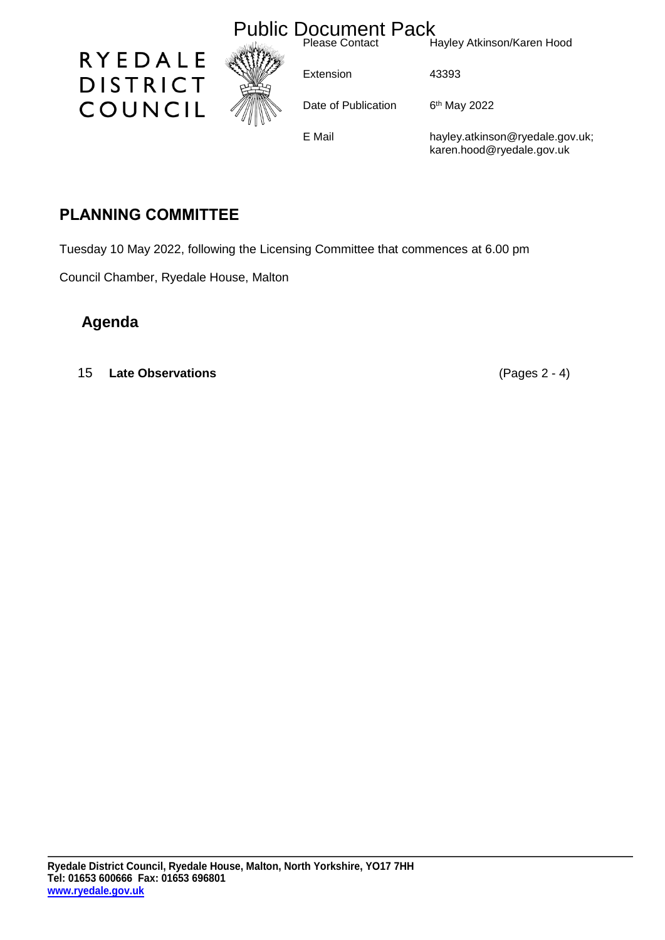

## **PLANNING COMMITTEE**

Tuesday 10 May 2022, following the Licensing Committee that commences at 6.00 pm

Council Chamber, Ryedale House, Malton

## **Agenda**

15 **Late Observations** (Pages 2 - 4)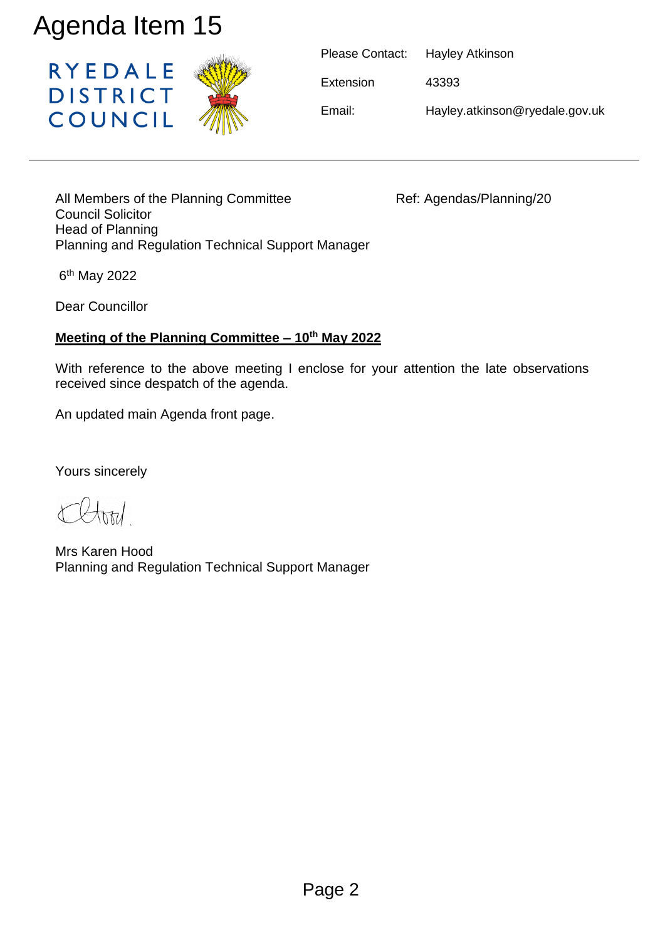

| Please Contact: | Hayley Atkinson                |
|-----------------|--------------------------------|
| Extension       | 43393                          |
| Email:          | Hayley.atkinson@ryedale.gov.uk |

All Members of the Planning Committee Ref: Agendas/Planning/20 Council Solicitor Head of Planning Planning and Regulation Technical Support Manager

6<sup>th</sup> May 2022

Dear Councillor

## **Meeting of the Planning Committee – 10th May 2022**

With reference to the above meeting I enclose for your attention the late observations received since despatch of the agenda.

An updated main Agenda front page.

Yours sincerely

Mrs Karen Hood Planning and Regulation Technical Support Manager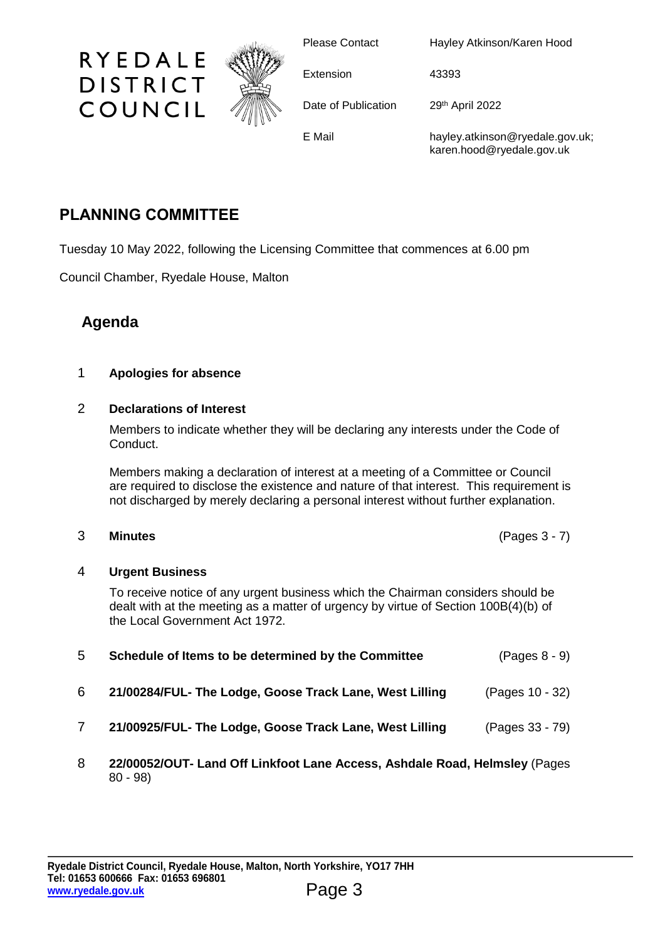

Please Contact Hayley Atkinson/Karen Hood

Extension 43393

Date of Publication 29th April 2022

E Mail hayley.atkinson@ryedale.gov.uk; karen.hood@ryedale.gov.uk

# **PLANNING COMMITTEE**

RYEDALE

**DISTRICT** 

COUNCIL

Tuesday 10 May 2022, following the Licensing Committee that commences at 6.00 pm

Council Chamber, Ryedale House, Malton

## **Agenda**

### 1 **Apologies for absence**

### 2 **Declarations of Interest**

Members to indicate whether they will be declaring any interests under the Code of Conduct.

Members making a declaration of interest at a meeting of a Committee or Council are required to disclose the existence and nature of that interest. This requirement is not discharged by merely declaring a personal interest without further explanation.

### 3 **Minutes** (Pages 3 - 7)

### 4 **Urgent Business**

To receive notice of any urgent business which the Chairman considers should be dealt with at the meeting as a matter of urgency by virtue of Section 100B(4)(b) of the Local Government Act 1972.

| 5 | Schedule of Items to be determined by the Committee     | $(Pages 8 - 9)$ |
|---|---------------------------------------------------------|-----------------|
| 6 | 21/00284/FUL- The Lodge, Goose Track Lane, West Lilling | (Pages 10 - 32) |
|   | 21/00925/FUL- The Lodge, Goose Track Lane, West Lilling | (Pages 33 - 79) |
|   |                                                         |                 |

8 **22/00052/OUT- Land Off Linkfoot Lane Access, Ashdale Road, Helmsley** (Pages 80 - 98)